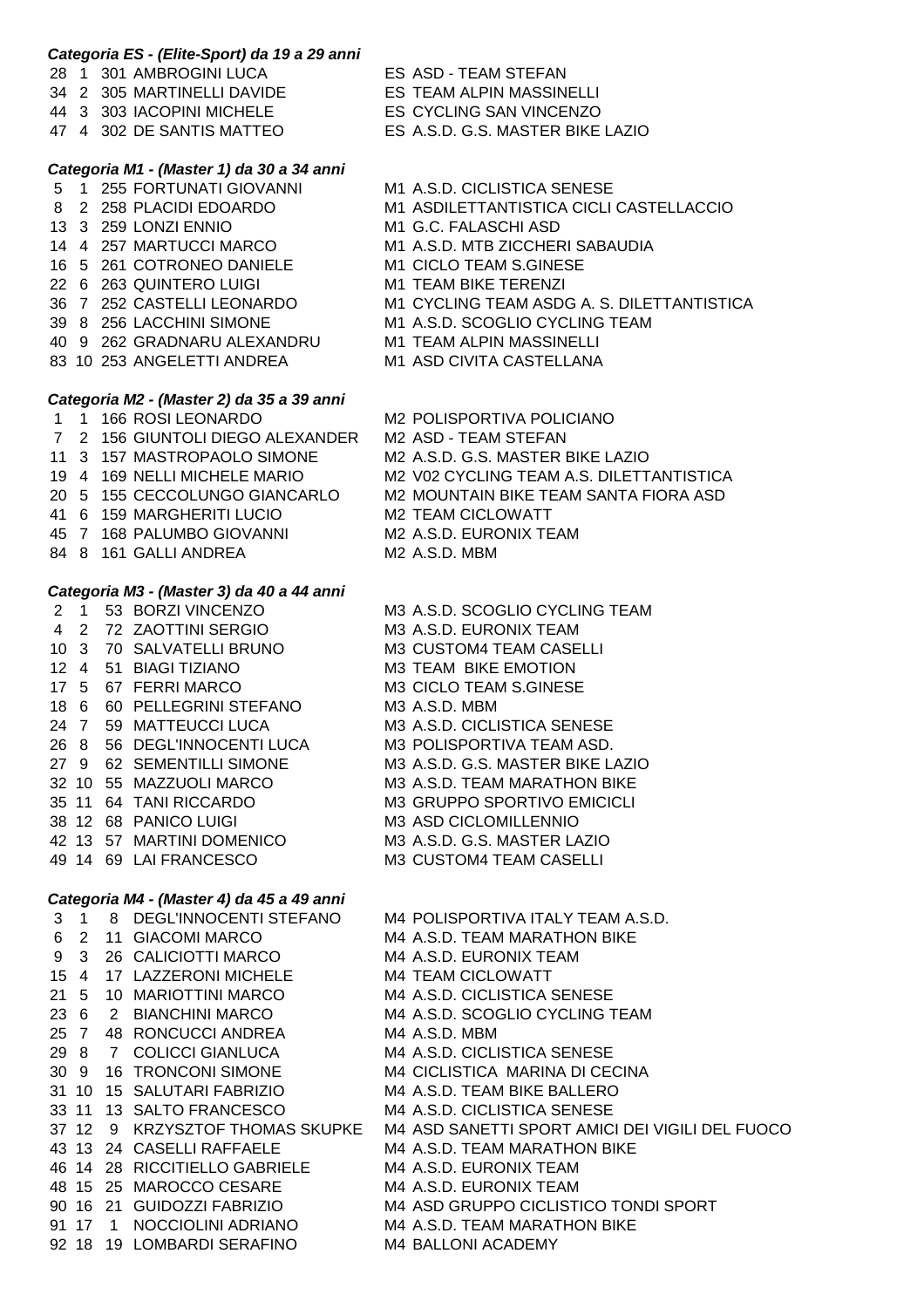| Categoria ES - (Elite-Sport) da 19 a 29 anni |                                                                    |                                                                                 |
|----------------------------------------------|--------------------------------------------------------------------|---------------------------------------------------------------------------------|
|                                              | 28 1 301 AMBROGINI LUCA                                            | ES ASD - TEAM STEFAN                                                            |
|                                              | 34 2 305 MARTINELLI DAVIDE                                         | ES TEAM ALPIN MASSINELLI                                                        |
|                                              | 44 3 303 IACOPINI MICHELE ES CYCLING SAN VINCENZO                  |                                                                                 |
|                                              | 47 4 302 DE SANTIS MATTEO                                          | ES A.S.D. G.S. MASTER BIKE LAZIO                                                |
|                                              | Categoria M1 - (Master 1) da 30 a 34 anni                          |                                                                                 |
|                                              | 5 1 255 FORTUNATI GIOVANNI                                         | M1 A.S.D. CICLISTICA SENESE                                                     |
|                                              | 8 2 258 PLACIDI EDOARDO                                            | M1 ASDILETTANTISTICA CICLI CASTELLACCIO                                         |
|                                              | 13 3 259 LONZI ENNIO                                               | M1 G.C. FALASCHI ASD                                                            |
|                                              | 14 4 257 MARTUCCI MARCO                                            | M1 A.S.D. MTB ZICCHERI SABAUDIA                                                 |
|                                              | 16 5 261 COTRONEO DANIELE                                          | M1 CICLO TEAM S.GINESE                                                          |
|                                              | 22 6 263 QUINTERO LUIGI                                            | M1 TEAM BIKE TERENZI                                                            |
|                                              | 36 7 252 CASTELLI LEONARDO                                         | M1 CYCLING TEAM ASDG A. S. DILETTANTISTICA                                      |
|                                              | 39 8 256 LACCHINI SIMONE                                           | M1 A.S.D. SCOGLIO CYCLING TEAM                                                  |
|                                              | 40 9 262 GRADNARU ALEXANDRU                                        | M1 TEAM ALPIN MASSINELLI                                                        |
|                                              | 83 10 253 ANGELETTI ANDREA                                         | M1 ASD CIVITA CASTELLANA                                                        |
|                                              |                                                                    |                                                                                 |
|                                              | Categoria M2 - (Master 2) da 35 a 39 anni<br>1 1 166 ROSI LEONARDO | M2 POLISPORTIVA POLICIANO                                                       |
|                                              | 7 2 156 GIUNTOLI DIEGO ALEXANDER                                   | M2 ASD - TEAM STEFAN                                                            |
|                                              | 11 3 157 MASTROPAOLO SIMONE                                        | M2 A.S.D. G.S. MASTER BIKE LAZIO                                                |
|                                              | 19 4 169 NELLI MICHELE MARIO                                       | M2 V02 CYCLING TEAM A.S. DILETTANTISTICA                                        |
|                                              | 20 5 155 CECCOLUNGO GIANCARLO                                      | M2 MOUNTAIN BIKE TEAM SANTA FIORA ASD                                           |
|                                              | 41 6 159 MARGHERITI LUCIO                                          | M2 TEAM CICLOWATT                                                               |
|                                              | 45 7 168 PALUMBO GIOVANNI                                          | M2 A.S.D. EURONIX TEAM                                                          |
|                                              | 84 8 161 GALLI ANDREA                                              | M2 A.S.D. MBM                                                                   |
|                                              |                                                                    |                                                                                 |
|                                              | Categoria M3 - (Master 3) da 40 a 44 anni                          |                                                                                 |
|                                              | 2 1 53 BORZI VINCENZO                                              | M3 A.S.D. SCOGLIO CYCLING TEAM                                                  |
| $\overline{4}$                               | 2 72 ZAOTTINI SERGIO                                               | M3 A.S.D. EURONIX TEAM                                                          |
|                                              | 10 3 70 SALVATELLI BRUNO                                           | M3 CUSTOM4 TEAM CASELLI                                                         |
|                                              | 12 4 51 BIAGI TIZIANO                                              | M3 TEAM BIKE EMOTION                                                            |
|                                              | 17 5 67 FERRI MARCO                                                | M3 CICLO TEAM S.GINESE                                                          |
|                                              | 18 6 60 PELLEGRINI STEFANO                                         | M3 A.S.D. MBM                                                                   |
|                                              | 24 7 59 MATTEUCCI LUCA<br>26 8 56 DEGL'INNOCENTI LUCA              | M3 A.S.D. CICLISTICA SENESE<br>M3 POLISPORTIVA TEAM ASD.                        |
|                                              | 27 9 62 SEMENTILLI SIMONE                                          | M3 A.S.D. G.S. MASTER BIKE LAZIO                                                |
|                                              | 32 10 55 MAZZUOLI MARCO                                            | M3 A.S.D. TEAM MARATHON BIKE                                                    |
|                                              | 35 11 64 TANI RICCARDO                                             | M3 GRUPPO SPORTIVO EMICICLI                                                     |
|                                              | 38 12 68 PANICO LUIGI                                              | M3 ASD CICLOMILLENNIO                                                           |
|                                              | 42 13 57 MARTINI DOMENICO                                          | M3 A.S.D. G.S. MASTER LAZIO                                                     |
|                                              | 49 14 69 LAI FRANCESCO                                             | M3 CUSTOM4 TEAM CASELLI                                                         |
|                                              |                                                                    |                                                                                 |
| Categoria M4 - (Master 4) da 45 a 49 anni    |                                                                    |                                                                                 |
| 3 <sub>1</sub>                               | 8 DEGL'INNOCENTI STEFANO                                           | M4 POLISPORTIVA ITALY TEAM A.S.D.                                               |
| $\overline{2}$<br>6                          | 11 GIACOMI MARCO                                                   | M4 A.S.D. TEAM MARATHON BIKE                                                    |
| 3<br>9                                       | 26 CALICIOTTI MARCO                                                | M4 A.S.D. EURONIX TEAM                                                          |
| 15 4                                         | 17 LAZZERONI MICHELE                                               | <b>M4 TEAM CICLOWATT</b>                                                        |
| 21 <sub>5</sub>                              | 10 MARIOTTINI MARCO                                                | M4 A.S.D. CICLISTICA SENESE                                                     |
| 23 6                                         | 2 BIANCHINI MARCO                                                  | M4 A.S.D. SCOGLIO CYCLING TEAM                                                  |
| 25 7                                         | 48 RONCUCCI ANDREA                                                 | M4 A.S.D. MBM                                                                   |
| 29 8                                         | 7 COLICCI GIANLUCA                                                 | M4 A.S.D. CICLISTICA SENESE                                                     |
| 30 9                                         | 16 TRONCONI SIMONE                                                 | M4 CICLISTICA MARINA DI CECINA                                                  |
|                                              | 31 10 15 SALUTARI FABRIZIO                                         | M4 A.S.D. TEAM BIKE BALLERO                                                     |
|                                              | 33 11 13 SALTO FRANCESCO<br>37 12 9 KRZYSZTOF THOMAS SKUPKE        | M4 A.S.D. CICLISTICA SENESE                                                     |
|                                              | 43 13 24 CASELLI RAFFAELE                                          | M4 ASD SANETTI SPORT AMICI DEI VIGILI DEL FUOCO<br>M4 A.S.D. TEAM MARATHON BIKE |
|                                              | 46 14 28 RICCITIELLO GABRIELE                                      | M4 A.S.D. EURONIX TEAM                                                          |
|                                              | 48 15 25 MAROCCO CESARE                                            | M4 A.S.D. EURONIX TEAM                                                          |
|                                              | 90 16 21 GUIDOZZI FABRIZIO                                         | M4 ASD GRUPPO CICLISTICO TONDI SPORT                                            |
| 91 17                                        | NOCCIOLINI ADRIANO<br>$\overline{1}$                               | M4 A.S.D. TEAM MARATHON BIKE                                                    |
| 92 18                                        | 19 LOMBARDI SERAFINO                                               | M4 BALLONI ACADEMY                                                              |
|                                              |                                                                    |                                                                                 |